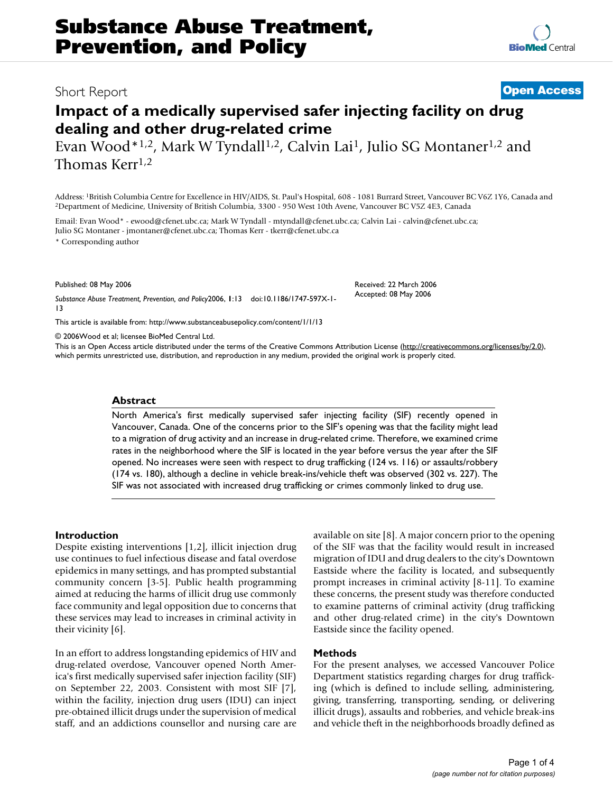# **Impact of a medically supervised safer injecting facility on drug dealing and other drug-related crime**

Evan Wood\*1,2, Mark W Tyndall<sup>1,2</sup>, Calvin Lai<sup>1</sup>, Julio SG Montaner<sup>1,2</sup> and Thomas Kerr<sup>1,2</sup>

Address: <sup>1</sup>British Columbia Centre for Excellence in HIV/AIDS, St. Paul's Hospital, 608 - 1081 Burrard Street, Vancouver BC V6Z 1Y6, Canada and <sup>2</sup>Department of Medicine, University of British Columbia, 3300 - 950 West 10

Email: Evan Wood\* - ewood@cfenet.ubc.ca; Mark W Tyndall - mtyndall@cfenet.ubc.ca; Calvin Lai - calvin@cfenet.ubc.ca; Julio SG Montaner - jmontaner@cfenet.ubc.ca; Thomas Kerr - tkerr@cfenet.ubc.ca

\* Corresponding author

Published: 08 May 2006

*Substance Abuse Treatment, Prevention, and Policy*2006, **1**:13 doi:10.1186/1747-597X-1- 13

[This article is available from: http://www.substanceabusepolicy.com/content/1/1/13](http://www.substanceabusepolicy.com/content/1/1/13)

© 2006Wood et al; licensee BioMed Central Ltd.

This is an Open Access article distributed under the terms of the Creative Commons Attribution License [\(http://creativecommons.org/licenses/by/2.0\)](http://creativecommons.org/licenses/by/2.0), which permits unrestricted use, distribution, and reproduction in any medium, provided the original work is properly cited.

#### **Abstract**

North America's first medically supervised safer injecting facility (SIF) recently opened in Vancouver, Canada. One of the concerns prior to the SIF's opening was that the facility might lead to a migration of drug activity and an increase in drug-related crime. Therefore, we examined crime rates in the neighborhood where the SIF is located in the year before versus the year after the SIF opened. No increases were seen with respect to drug trafficking (124 vs. 116) or assaults/robbery (174 vs. 180), although a decline in vehicle break-ins/vehicle theft was observed (302 vs. 227). The SIF was not associated with increased drug trafficking or crimes commonly linked to drug use.

#### **Introduction**

Despite existing interventions [1,2], illicit injection drug use continues to fuel infectious disease and fatal overdose epidemics in many settings, and has prompted substantial community concern [3-5]. Public health programming aimed at reducing the harms of illicit drug use commonly face community and legal opposition due to concerns that these services may lead to increases in criminal activity in their vicinity [6].

In an effort to address longstanding epidemics of HIV and drug-related overdose, Vancouver opened North America's first medically supervised safer injection facility (SIF) on September 22, 2003. Consistent with most SIF [7], within the facility, injection drug users (IDU) can inject pre-obtained illicit drugs under the supervision of medical staff, and an addictions counsellor and nursing care are available on site [8]. A major concern prior to the opening of the SIF was that the facility would result in increased migration of IDU and drug dealers to the city's Downtown Eastside where the facility is located, and subsequently prompt increases in criminal activity [8-11]. To examine these concerns, the present study was therefore conducted to examine patterns of criminal activity (drug trafficking and other drug-related crime) in the city's Downtown Eastside since the facility opened.

#### **Methods**

For the present analyses, we accessed Vancouver Police Department statistics regarding charges for drug trafficking (which is defined to include selling, administering, giving, transferring, transporting, sending, or delivering illicit drugs), assaults and robberies, and vehicle break-ins and vehicle theft in the neighborhoods broadly defined as

# Short Report **[Open Access](http://www.biomedcentral.com/info/about/charter/)**

Received: 22 March 2006 Accepted: 08 May 2006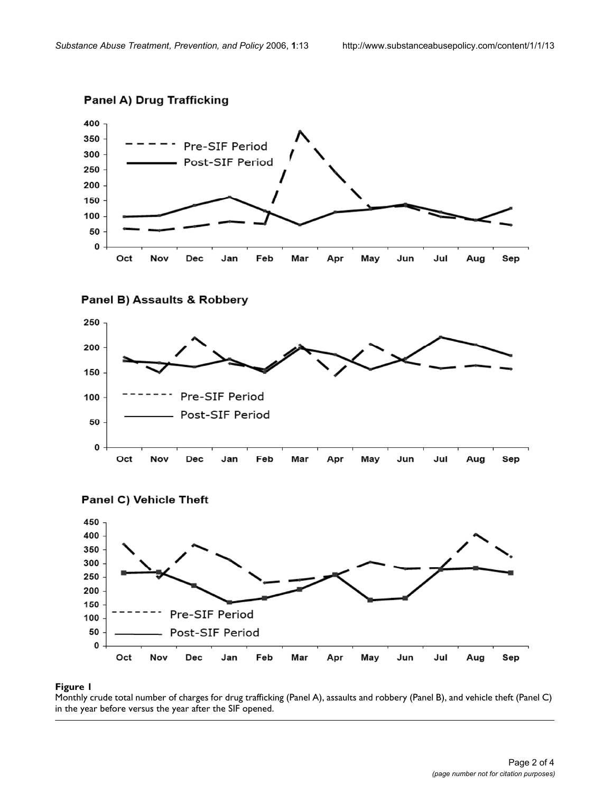

# **Panel A) Drug Trafficking**









# Monthly crude total number of charges for dr in the year before versus **Figure 1** the year after the SIF opened ug trafficking (Panel A), assaults and robbery (Panel B), and vehicle theft (Panel C)

Monthly crude total number of charges for drug trafficking (Panel A), assaults and robbery (Panel B), and vehicle theft (Panel C) in the year before versus the year after the SIF opened.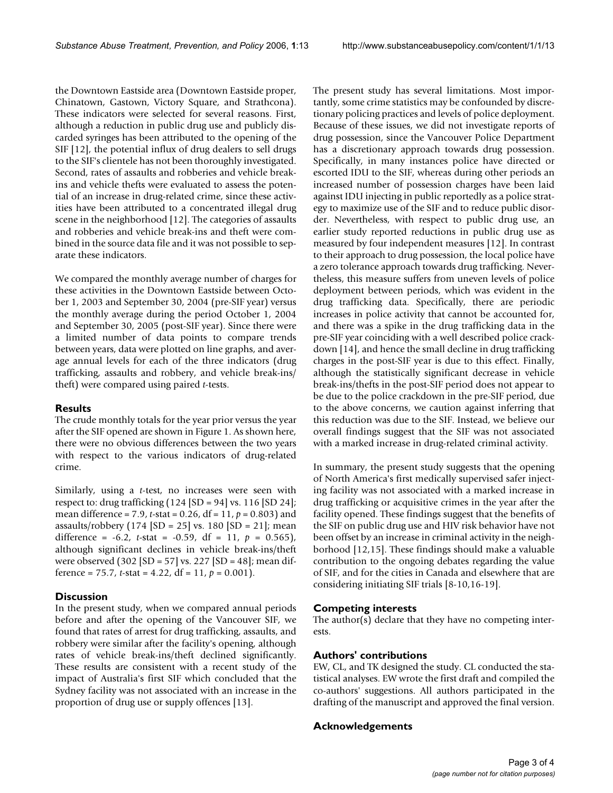the Downtown Eastside area (Downtown Eastside proper, Chinatown, Gastown, Victory Square, and Strathcona). These indicators were selected for several reasons. First, although a reduction in public drug use and publicly discarded syringes has been attributed to the opening of the SIF [12], the potential influx of drug dealers to sell drugs to the SIF's clientele has not been thoroughly investigated. Second, rates of assaults and robberies and vehicle breakins and vehicle thefts were evaluated to assess the potential of an increase in drug-related crime, since these activities have been attributed to a concentrated illegal drug scene in the neighborhood [12]. The categories of assaults and robberies and vehicle break-ins and theft were combined in the source data file and it was not possible to separate these indicators.

We compared the monthly average number of charges for these activities in the Downtown Eastside between October 1, 2003 and September 30, 2004 (pre-SIF year) versus the monthly average during the period October 1, 2004 and September 30, 2005 (post-SIF year). Since there were a limited number of data points to compare trends between years, data were plotted on line graphs, and average annual levels for each of the three indicators (drug trafficking, assaults and robbery, and vehicle break-ins/ theft) were compared using paired *t*-tests.

#### **Results**

The crude monthly totals for the year prior versus the year after the SIF opened are shown in Figure 1. As shown here, there were no obvious differences between the two years with respect to the various indicators of drug-related crime.

Similarly, using a *t*-test, no increases were seen with respect to: drug trafficking (124 [SD = 94] vs. 116 [SD 24]; mean difference = 7.9, *t*-stat = 0.26, df = 11, *p* = 0.803) and assaults/robbery  $(174 \text{ [SD = 25] vs. } 180 \text{ [SD = 21]}; \text{ mean}$ difference = -6.2, *t*-stat = -0.59, df = 11, *p* = 0.565), although significant declines in vehicle break-ins/theft were observed (302 [SD = 57] vs. 227 [SD = 48]; mean difference =  $75.7$ , *t*-stat =  $4.22$ , df =  $11$ ,  $p = 0.001$ ).

# **Discussion**

In the present study, when we compared annual periods before and after the opening of the Vancouver SIF, we found that rates of arrest for drug trafficking, assaults, and robbery were similar after the facility's opening, although rates of vehicle break-ins/theft declined significantly. These results are consistent with a recent study of the impact of Australia's first SIF which concluded that the Sydney facility was not associated with an increase in the proportion of drug use or supply offences [13].

The present study has several limitations. Most importantly, some crime statistics may be confounded by discretionary policing practices and levels of police deployment. Because of these issues, we did not investigate reports of drug possession, since the Vancouver Police Department has a discretionary approach towards drug possession. Specifically, in many instances police have directed or escorted IDU to the SIF, whereas during other periods an increased number of possession charges have been laid against IDU injecting in public reportedly as a police strategy to maximize use of the SIF and to reduce public disorder. Nevertheless, with respect to public drug use, an earlier study reported reductions in public drug use as measured by four independent measures [12]. In contrast to their approach to drug possession, the local police have a zero tolerance approach towards drug trafficking. Nevertheless, this measure suffers from uneven levels of police deployment between periods, which was evident in the drug trafficking data. Specifically, there are periodic increases in police activity that cannot be accounted for, and there was a spike in the drug trafficking data in the pre-SIF year coinciding with a well described police crackdown [14], and hence the small decline in drug trafficking charges in the post-SIF year is due to this effect. Finally, although the statistically significant decrease in vehicle break-ins/thefts in the post-SIF period does not appear to be due to the police crackdown in the pre-SIF period, due to the above concerns, we caution against inferring that this reduction was due to the SIF. Instead, we believe our overall findings suggest that the SIF was not associated with a marked increase in drug-related criminal activity.

In summary, the present study suggests that the opening of North America's first medically supervised safer injecting facility was not associated with a marked increase in drug trafficking or acquisitive crimes in the year after the facility opened. These findings suggest that the benefits of the SIF on public drug use and HIV risk behavior have not been offset by an increase in criminal activity in the neighborhood [12,15]. These findings should make a valuable contribution to the ongoing debates regarding the value of SIF, and for the cities in Canada and elsewhere that are considering initiating SIF trials [8-10,16-19].

# **Competing interests**

The author(s) declare that they have no competing interests.

### **Authors' contributions**

EW, CL, and TK designed the study. CL conducted the statistical analyses. EW wrote the first draft and compiled the co-authors' suggestions. All authors participated in the drafting of the manuscript and approved the final version.

# **Acknowledgements**